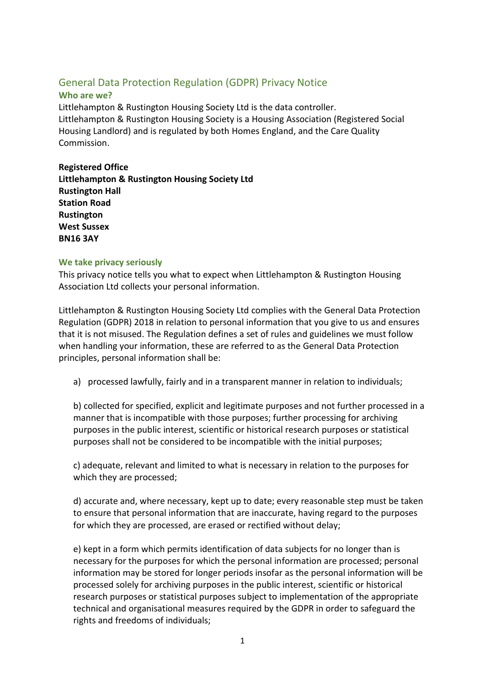# General Data Protection Regulation (GDPR) Privacy Notice

# **Who are we?**

Littlehampton & Rustington Housing Society Ltd is the data controller. Littlehampton & Rustington Housing Society is a Housing Association (Registered Social Housing Landlord) and is regulated by both Homes England, and the Care Quality Commission.

**Registered Office Littlehampton & Rustington Housing Society Ltd Rustington Hall Station Road Rustington West Sussex BN16 3AY**

## **We take privacy seriously**

This privacy notice tells you what to expect when Littlehampton & Rustington Housing Association Ltd collects your personal information.

Littlehampton & Rustington Housing Society Ltd complies with the General Data Protection Regulation (GDPR) 2018 in relation to personal information that you give to us and ensures that it is not misused. The Regulation defines a set of rules and guidelines we must follow when handling your information, these are referred to as the General Data Protection principles, personal information shall be:

a) processed lawfully, fairly and in a transparent manner in relation to individuals;

b) collected for specified, explicit and legitimate purposes and not further processed in a manner that is incompatible with those purposes; further processing for archiving purposes in the public interest, scientific or historical research purposes or statistical purposes shall not be considered to be incompatible with the initial purposes;

c) adequate, relevant and limited to what is necessary in relation to the purposes for which they are processed;

d) accurate and, where necessary, kept up to date; every reasonable step must be taken to ensure that personal information that are inaccurate, having regard to the purposes for which they are processed, are erased or rectified without delay;

e) kept in a form which permits identification of data subjects for no longer than is necessary for the purposes for which the personal information are processed; personal information may be stored for longer periods insofar as the personal information will be processed solely for archiving purposes in the public interest, scientific or historical research purposes or statistical purposes subject to implementation of the appropriate technical and organisational measures required by the GDPR in order to safeguard the rights and freedoms of individuals;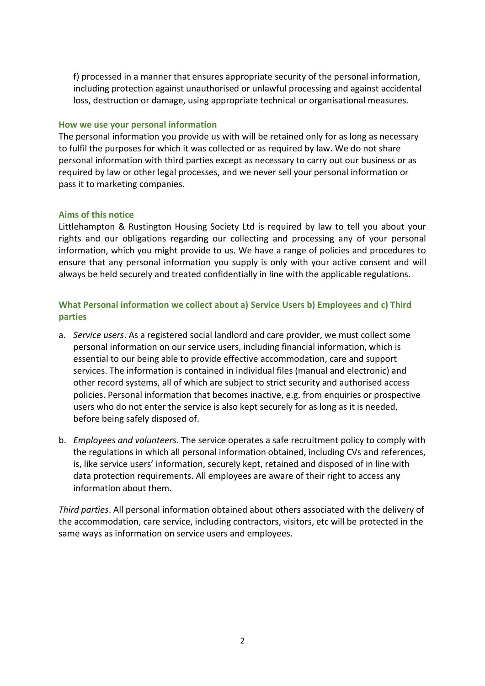f) processed in a manner that ensures appropriate security of the personal information, including protection against unauthorised or unlawful processing and against accidental loss, destruction or damage, using appropriate technical or organisational measures.

#### **How we use your personal information**

The personal information you provide us with will be retained only for as long as necessary to fulfil the purposes for which it was collected or as required by law. We do not share personal information with third parties except as necessary to carry out our business or as required by law or other legal processes, and we never sell your personal information or pass it to marketing companies.

#### **Aims of this notice**

Littlehampton & Rustington Housing Society Ltd is required by law to tell you about your rights and our obligations regarding our collecting and processing any of your personal information, which you might provide to us. We have a range of policies and procedures to ensure that any personal information you supply is only with your active consent and will always be held securely and treated confidentially in line with the applicable regulations.

## **What Personal information we collect about a) Service Users b) Employees and c) Third parties**

- a. *Service users*. As a registered social landlord and care provider, we must collect some personal information on our service users, including financial information, which is essential to our being able to provide effective accommodation, care and support services. The information is contained in individual files (manual and electronic) and other record systems, all of which are subject to strict security and authorised access policies. Personal information that becomes inactive, e.g. from enquiries or prospective users who do not enter the service is also kept securely for as long as it is needed, before being safely disposed of.
- b. *Employees and volunteers*. The service operates a safe recruitment policy to comply with the regulations in which all personal information obtained, including CVs and references, is, like service users' information, securely kept, retained and disposed of in line with data protection requirements. All employees are aware of their right to access any information about them.

*Third parties*. All personal information obtained about others associated with the delivery of the accommodation, care service, including contractors, visitors, etc will be protected in the same ways as information on service users and employees.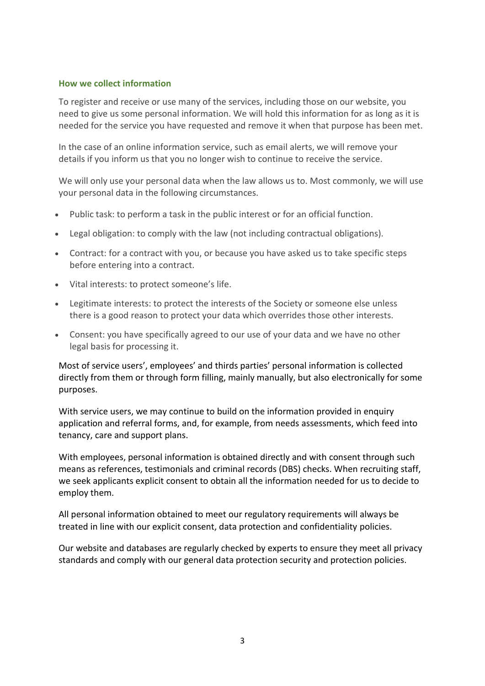#### **How we collect information**

To register and receive or use many of the services, including those on our website, you need to give us some personal information. We will hold this information for as long as it is needed for the service you have requested and remove it when that purpose has been met.

In the case of an online information service, such as email alerts, we will remove your details if you inform us that you no longer wish to continue to receive the service.

We will only use your personal data when the law allows us to. Most commonly, we will use your personal data in the following circumstances.

- Public task: to perform a task in the public interest or for an official function.
- Legal obligation: to comply with the law (not including contractual obligations).
- Contract: for a contract with you, or because you have asked us to take specific steps before entering into a contract.
- Vital interests: to protect someone's life.
- Legitimate interests: to protect the interests of the Society or someone else unless there is a good reason to protect your data which overrides those other interests.
- Consent: you have specifically agreed to our use of your data and we have no other legal basis for processing it.

Most of service users', employees' and thirds parties' personal information is collected directly from them or through form filling, mainly manually, but also electronically for some purposes.

With service users, we may continue to build on the information provided in enquiry application and referral forms, and, for example, from needs assessments, which feed into tenancy, care and support plans.

With employees, personal information is obtained directly and with consent through such means as references, testimonials and criminal records (DBS) checks. When recruiting staff, we seek applicants explicit consent to obtain all the information needed for us to decide to employ them.

All personal information obtained to meet our regulatory requirements will always be treated in line with our explicit consent, data protection and confidentiality policies.

Our website and databases are regularly checked by experts to ensure they meet all privacy standards and comply with our general data protection security and protection policies.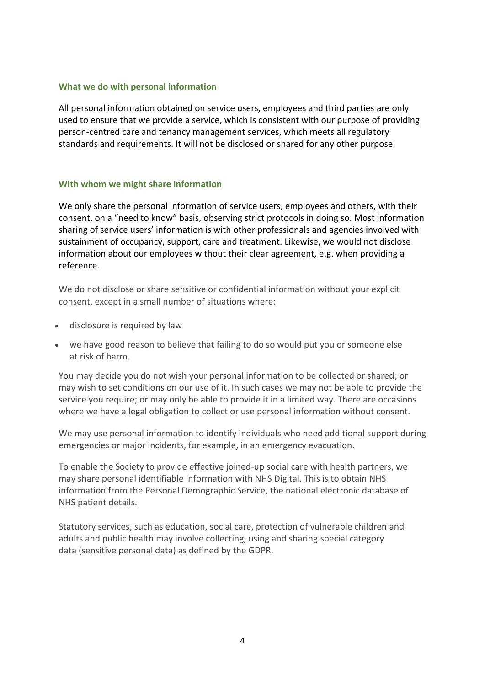#### **What we do with personal information**

All personal information obtained on service users, employees and third parties are only used to ensure that we provide a service, which is consistent with our purpose of providing person-centred care and tenancy management services, which meets all regulatory standards and requirements. It will not be disclosed or shared for any other purpose.

#### **With whom we might share information**

We only share the personal information of service users, employees and others, with their consent, on a "need to know" basis, observing strict protocols in doing so. Most information sharing of service users' information is with other professionals and agencies involved with sustainment of occupancy, support, care and treatment. Likewise, we would not disclose information about our employees without their clear agreement, e.g. when providing a reference.

We do not disclose or share sensitive or confidential information without your explicit consent, except in a small number of situations where:

- disclosure is required by law
- we have good reason to believe that failing to do so would put you or someone else at risk of harm.

You may decide you do not wish your personal information to be collected or shared; or may wish to set conditions on our use of it. In such cases we may not be able to provide the service you require; or may only be able to provide it in a limited way. There are occasions where we have a legal obligation to collect or use personal information without consent.

We may use personal information to identify individuals who need additional support during emergencies or major incidents, for example, in an emergency evacuation.

To enable the Society to provide effective joined-up social care with health partners, we may share personal identifiable information with NHS Digital. This is to obtain NHS information from the Personal Demographic Service, the national electronic database of NHS patient details.

Statutory services, such as education, social care, protection of vulnerable children and adults and public health may involve collecting, using and sharing special category data (sensitive personal data) as defined by the GDPR.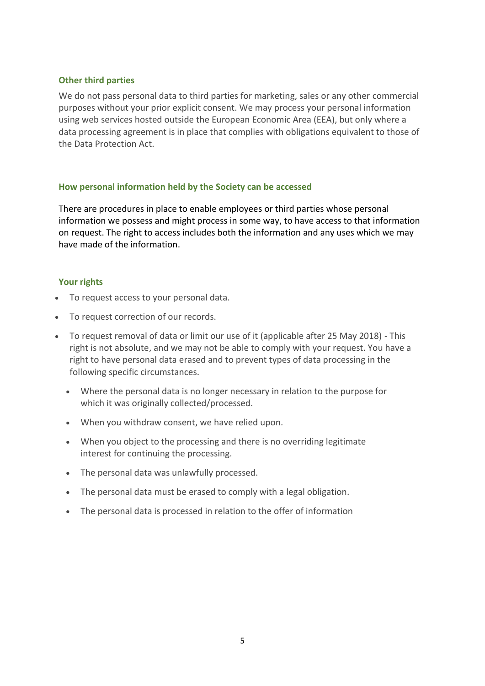## **Other third parties**

We do not pass personal data to third parties for marketing, sales or any other commercial purposes without your prior explicit consent. We may process your personal information using web services hosted outside the European Economic Area (EEA), but only where a data processing agreement is in place that complies with obligations equivalent to those of the Data Protection Act.

## **How personal information held by the Society can be accessed**

There are procedures in place to enable employees or third parties whose personal information we possess and might process in some way, to have access to that information on request. The right to access includes both the information and any uses which we may have made of the information.

## **Your rights**

- To request access to your personal data.
- To request correction of our records.
- To request removal of data or limit our use of it (applicable after 25 May 2018) This right is not absolute, and we may not be able to comply with your request. You have a right to have personal data erased and to prevent types of data processing in the following specific circumstances.
	- Where the personal data is no longer necessary in relation to the purpose for which it was originally collected/processed.
	- When you withdraw consent, we have relied upon.
	- When you object to the processing and there is no overriding legitimate interest for continuing the processing.
	- The personal data was unlawfully processed.
	- The personal data must be erased to comply with a legal obligation.
	- The personal data is processed in relation to the offer of information